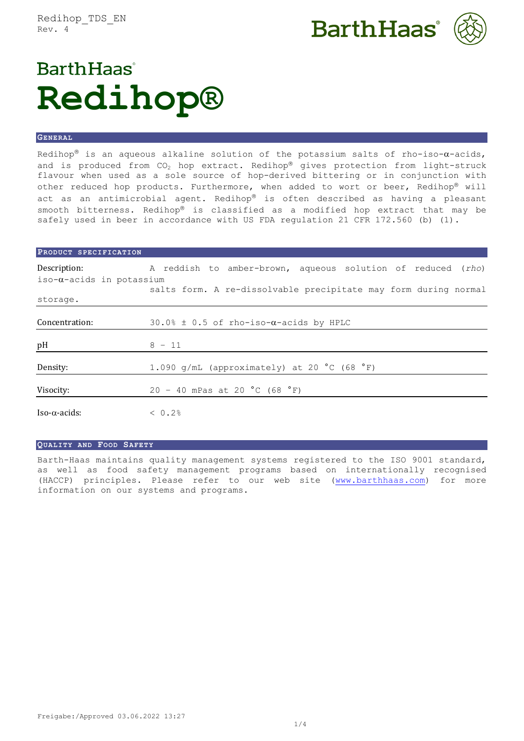Redihop\_TDS\_EN Rev. 4





# **Barth Haas Redihop®**

## **GENERAL**

Redihop® is an aqueous alkaline solution of the potassium salts of rho-iso- $\alpha$ -acids, and is produced from  $CO<sub>2</sub>$  hop extract. Redihop® gives protection from light-struck flavour when used as a sole source of hop-derived bittering or in conjunction with other reduced hop products. Furthermore, when added to wort or beer, Redihop® will act as an antimicrobial agent. Redihop® is often described as having a pleasant smooth bitterness. Redihop® is classified as a modified hop extract that may be safely used in beer in accordance with US FDA requlation 21 CFR 172.560 (b) (1).

| PRODUCT SPECIFICATION             |                                                                 |
|-----------------------------------|-----------------------------------------------------------------|
| Description:                      | A reddish to amber-brown, aqueous solution of reduced (rho)     |
| iso- $\alpha$ -acids in potassium |                                                                 |
|                                   | salts form. A re-dissolvable precipitate may form during normal |
| storage.                          |                                                                 |
|                                   |                                                                 |
| Concentration:                    | 30.0% $\pm$ 0.5 of rho-iso- $\alpha$ -acids by HPLC             |
|                                   |                                                                 |
| pH                                | $8 - 11$                                                        |
|                                   |                                                                 |
| Density:                          | 1.090 g/mL (approximately) at 20 $^{\circ}$ C (68 $^{\circ}$ F) |
|                                   |                                                                 |
| Visocity:                         | 20 - 40 mPas at 20 °C (68 °F)                                   |
|                                   |                                                                 |
| $Iso-\alpha-acids$                | < 0.2%                                                          |

#### **QUALITY AND FOOD SAFETY**

Barth-Haas maintains quality management systems registered to the ISO 9001 standard, as well as food safety management programs based on internationally recognised (HACCP) principles. Please refer to our web site [\(www.barthhaas.com](http://www.barthhaas.com/)) for more information on our systems and programs.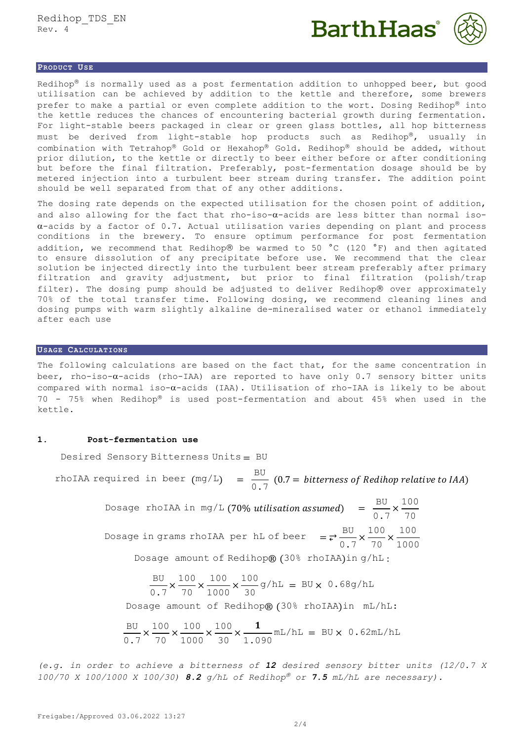



## **PRODUCT USE**

Redihop<sup>®</sup> is normally used as a post fermentation addition to unhopped beer, but good utilisation can be achieved by addition to the kettle and therefore, some brewers prefer to make a partial or even complete addition to the wort. Dosing Redihop® into the kettle reduces the chances of encountering bacterial growth during fermentation. For light-stable beers packaged in clear or green glass bottles, all hop bitterness must be derived from light-stable hop products such as Redihop®, usually in combination with Tetrahop® Gold or Hexahop® Gold. Redihop® should be added, without prior dilution, to the kettle or directly to beer either before or after conditioning but before the final filtration. Preferably, post-fermentation dosage should be by metered injection into a turbulent beer stream during transfer. The addition point should be well separated from that of any other additions.

The dosing rate depends on the expected utilisation for the chosen point of addition, and also allowing for the fact that rho-iso- $\alpha$ -acids are less bitter than normal iso- $\alpha$ -acids by a factor of 0.7. Actual utilisation varies depending on plant and process conditions in the brewery. To ensure optimum performance for post fermentation addition, we recommend that Redihop® be warmed to 50  $^{\circ}$ C (120  $^{\circ}$ F) and then agitated to ensure dissolution of any precipitate before use. We recommend that the clear solution be injected directly into the turbulent beer stream preferably after primary filtration and gravity adjustment, but prior to final filtration (polish/trap filter). The dosing pump should be adjusted to deliver Redihop® over approximately 70% of the total transfer time. Following dosing, we recommend cleaning lines and dosing pumps with warm slightly alkaline de-mineralised water or ethanol immediately after each use

## **USAGE CALCULATIONS**

The following calculations are based on the fact that, for the same concentration in beer, rho-iso- $\alpha$ -acids (rho-IAA) are reported to have only 0.7 sensory bitter units compared with normal iso- $\alpha$ -acids (IAA). Utilisation of rho-IAA is likely to be about  $70$  -  $75\%$  when Redihop® is used post-fermentation and about 45% when used in the kettle.

### **1. Post-fermentation use**

Desired Sensory Bitterness Units = BU

rhoIAA required in beer  $(mg/L) = \frac{BU}{2\pi}$ 0.7  $(0.7 = \textit{bitterness of Redihop relative to IAA})$ 

> Dosage rhoIAA in mg/L (70% utilisation assumed) =  $\frac{BU}{2}$ 0.7  $\times \frac{100}{70}$ 70 Dosage in grams rhoIAA per hL of beer =  $\frac{BU}{C}$ 0.7  $\times \frac{100}{70}$ 70  $\times \frac{100}{100}$ 1000 Dosage amount of Redihop® (30% rhoIAA)in g/hL :

> > BU 0.7  $\times \frac{100}{10}$ 70  $\times \frac{100}{100}$ 1000  $\times \frac{100}{20}$ 30  $g/hL = BU \times 0.68g/hL$

Dosage amount of Redihop® (30% rhoIAA)in mL/hL:

$$
\frac{BU}{0.7} \times \frac{100}{70} \times \frac{100}{1000} \times \frac{100}{30} \times \frac{1}{1.090} \text{mL/hL} = BU \times 0.62 \text{mL/hL}
$$

*(e.g. in order to achieve a bitterness of 12 desired sensory bitter units (12/0.7 X 100/70 X 100/1000 X 100/30) 8.2 g/hL of Redihop or 7.5 mL/hL are necessary).*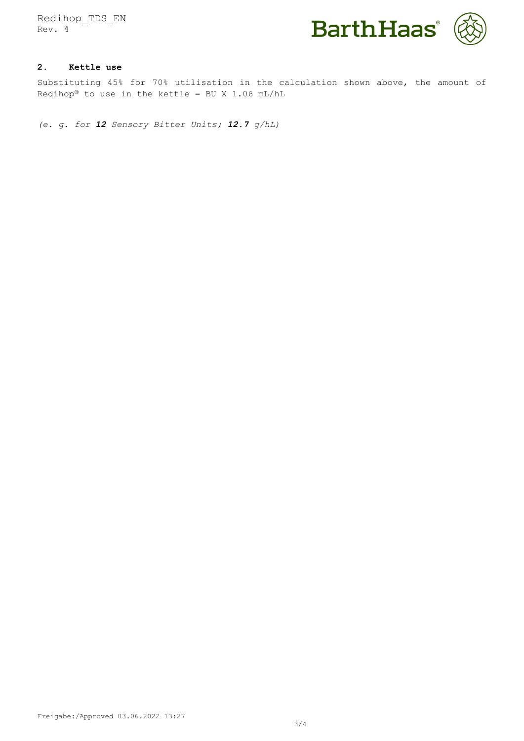Redihop\_TDS\_EN Rev. 4



# **2. Kettle use**

Substituting 45% for 70% utilisation in the calculation shown above, the amount of Redihop® to use in the kettle = BU X 1.06 mL/hL

*(e. g. for 12 Sensory Bitter Units; 12.7 g/hL)*